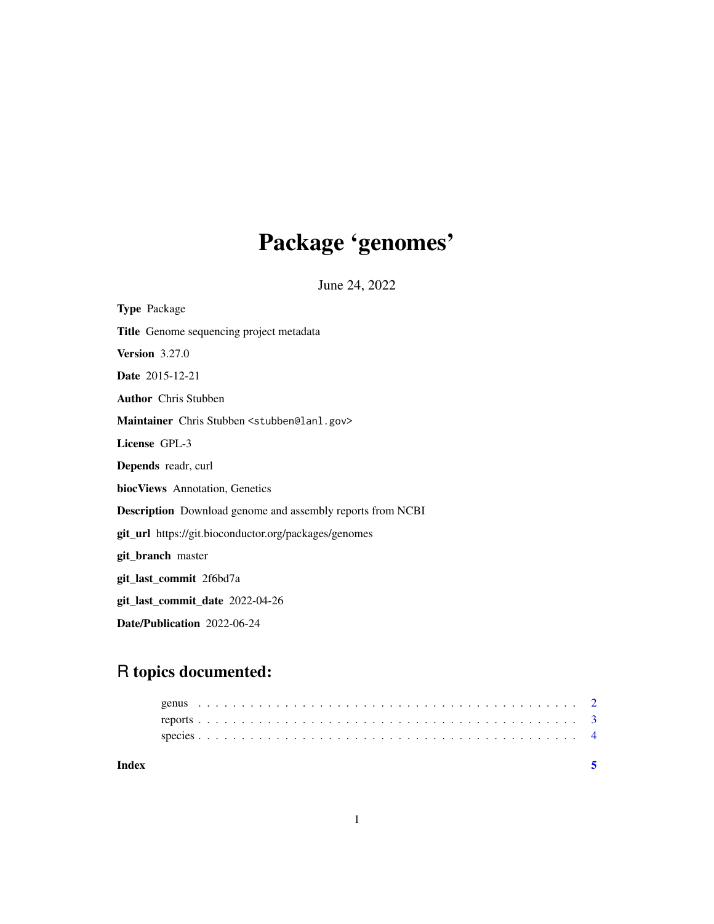# Package 'genomes'

June 24, 2022

| <b>Type Package</b>                                               |
|-------------------------------------------------------------------|
| Title Genome sequencing project metadata                          |
| <b>Version</b> 3.27.0                                             |
| Date 2015-12-21                                                   |
| <b>Author</b> Chris Stubben                                       |
| Maintainer Chris Stubben <stubben@lanl.gov></stubben@lanl.gov>    |
| License GPL-3                                                     |
| Depends readr, curl                                               |
| <b>biocViews</b> Annotation, Genetics                             |
| <b>Description</b> Download genome and assembly reports from NCBI |
| <b>git_url</b> https://git.bioconductor.org/packages/genomes      |
| git_branch master                                                 |
| git_last_commit 2f6bd7a                                           |
| git_last_commit_date 2022-04-26                                   |
| <b>Date/Publication</b> 2022-06-24                                |

# R topics documented:

| Index |  |  |  |  |  |  |  |  |  |  |  |  |  |  |  |  |  |  |  |  |  |  |  |
|-------|--|--|--|--|--|--|--|--|--|--|--|--|--|--|--|--|--|--|--|--|--|--|--|
|       |  |  |  |  |  |  |  |  |  |  |  |  |  |  |  |  |  |  |  |  |  |  |  |
|       |  |  |  |  |  |  |  |  |  |  |  |  |  |  |  |  |  |  |  |  |  |  |  |
|       |  |  |  |  |  |  |  |  |  |  |  |  |  |  |  |  |  |  |  |  |  |  |  |
|       |  |  |  |  |  |  |  |  |  |  |  |  |  |  |  |  |  |  |  |  |  |  |  |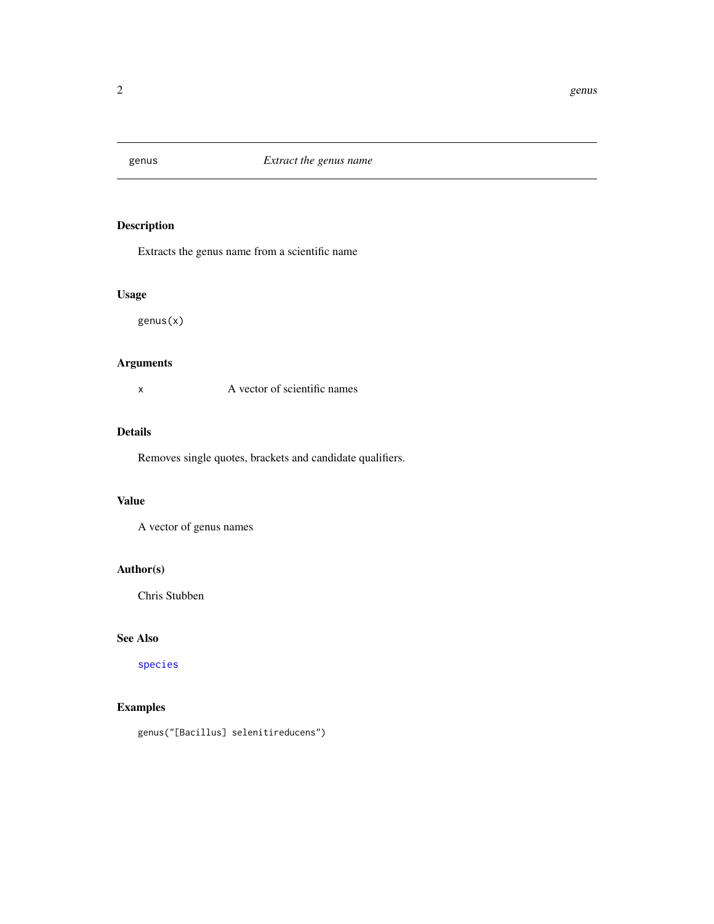<span id="page-1-1"></span><span id="page-1-0"></span>

# Description

Extracts the genus name from a scientific name

# Usage

genus(x)

# Arguments

x A vector of scientific names

# Details

Removes single quotes, brackets and candidate qualifiers.

# Value

A vector of genus names

# Author(s)

Chris Stubben

### See Also

[species](#page-3-1)

# Examples

genus("[Bacillus] selenitireducens")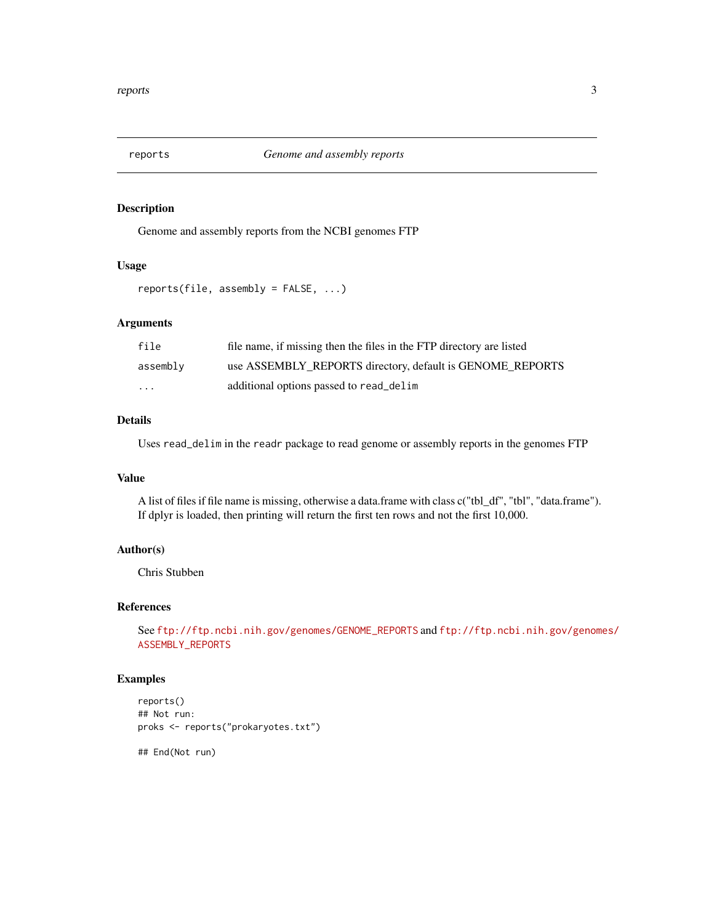<span id="page-2-0"></span>

# Description

Genome and assembly reports from the NCBI genomes FTP

# Usage

reports(file, assembly = FALSE, ...)

#### Arguments

| file                    | file name, if missing then the files in the FTP directory are listed |
|-------------------------|----------------------------------------------------------------------|
| assembly                | use ASSEMBLY_REPORTS directory, default is GENOME_REPORTS            |
| $\cdot$ $\cdot$ $\cdot$ | additional options passed to read_delim                              |

# Details

Uses read\_delim in the readr package to read genome or assembly reports in the genomes FTP

#### Value

A list of files if file name is missing, otherwise a data.frame with class c("tbl\_df", "tbl", "data.frame"). If dplyr is loaded, then printing will return the first ten rows and not the first 10,000.

# Author(s)

Chris Stubben

#### References

See [ftp://ftp.ncbi.nih.gov/genomes/GENOME\\_REPORTS](ftp://ftp.ncbi.nih.gov/genomes/GENOME_REPORTS) and [ftp://ftp.ncbi.nih.gov/genom](ftp://ftp.ncbi.nih.gov/genomes/ASSEMBLY_REPORTS)es/ [ASSEMBLY\\_REPORTS](ftp://ftp.ncbi.nih.gov/genomes/ASSEMBLY_REPORTS)

# Examples

```
reports()
## Not run:
proks <- reports("prokaryotes.txt")
```
## End(Not run)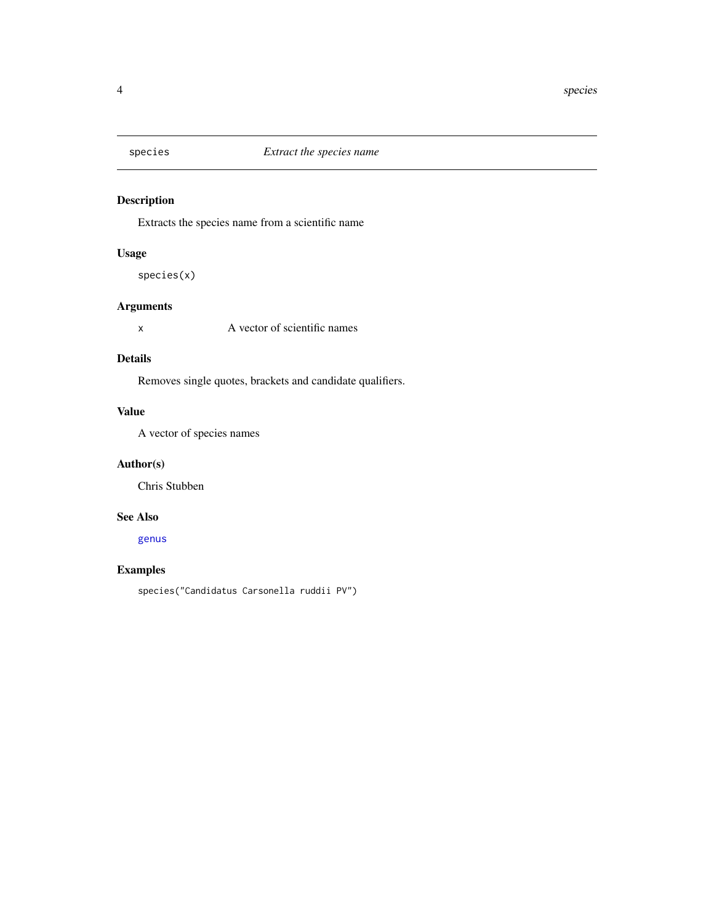<span id="page-3-1"></span><span id="page-3-0"></span>

# Description

Extracts the species name from a scientific name

# Usage

species(x)

# Arguments

x A vector of scientific names

#### Details

Removes single quotes, brackets and candidate qualifiers.

# Value

A vector of species names

# Author(s)

Chris Stubben

# See Also

[genus](#page-1-1)

# Examples

species("Candidatus Carsonella ruddii PV")